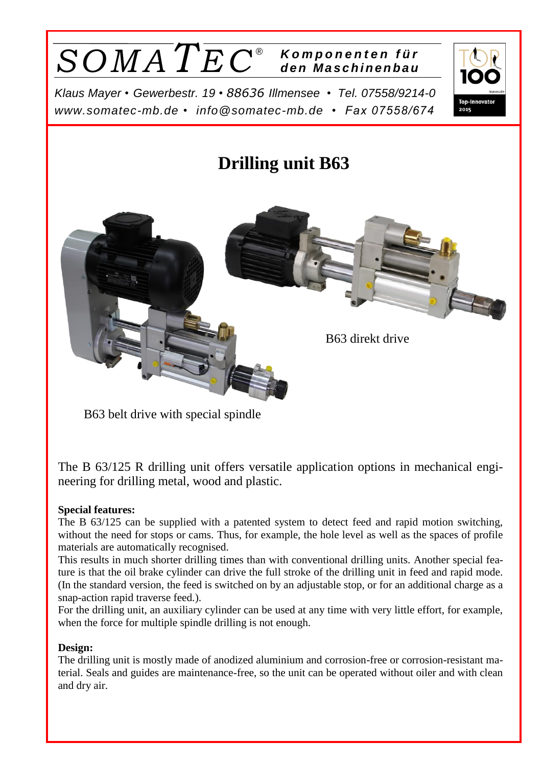

*Klaus Mayer • Gewerbestr. 19* • *88636 Illmensee • Tel. 07558/9214-0 [www.somatec-mb.de](http://www.somatec-mb.de/) • [info@somatec-mb.de](mailto:info@somatec-mb.de) • Fax 07558/674*



# **Drilling unit B63** B63 direkt drive

B63 belt drive with special spindle

The B 63/125 R drilling unit offers versatile application options in mechanical engineering for drilling metal, wood and plastic.

# **Special features:**

The B 63/125 can be supplied with a patented system to detect feed and rapid motion switching, without the need for stops or cams. Thus, for example, the hole level as well as the spaces of profile materials are automatically recognised.

This results in much shorter drilling times than with conventional drilling units. Another special feature is that the oil brake cylinder can drive the full stroke of the drilling unit in feed and rapid mode. (In the standard version, the feed is switched on by an adjustable stop, or for an additional charge as a snap-action rapid traverse feed.).

For the drilling unit, an auxiliary cylinder can be used at any time with very little effort, for example, when the force for multiple spindle drilling is not enough.

## **Design:**

The drilling unit is mostly made of anodized aluminium and corrosion-free or corrosion-resistant material. Seals and guides are maintenance-free, so the unit can be operated without oiler and with clean and dry air.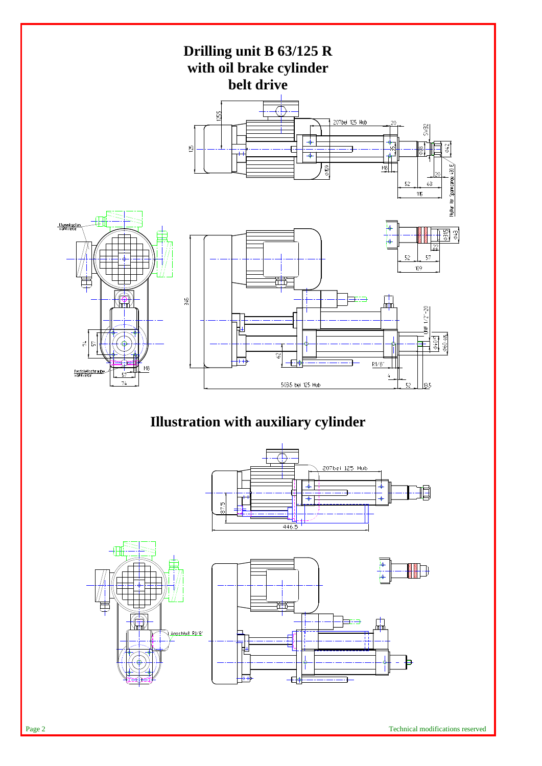

# **Illustration with auxiliary cylinder**